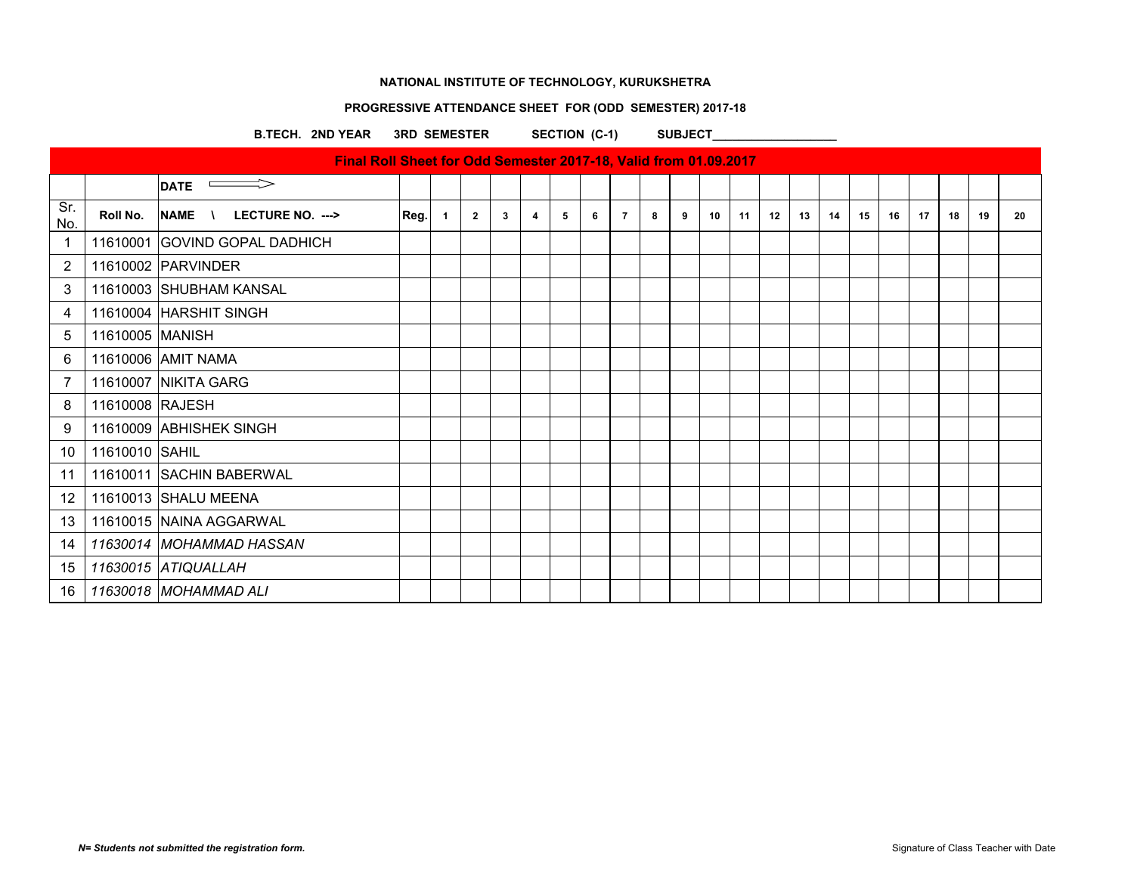#### **PROGRESSIVE ATTENDANCE SHEET FOR (ODD SEMESTER) 2017-18**

B.TECH. 2ND YEAR 3RD SEMESTER SECTION (C-1) SUBJECT

**DATE** 0. Roll No. NAME \ LECTURE NO. ---> Reg. 1 2 3 4 5 6 7 8 9 10 11 12 13 14 15 16 17 18 19 20 11610001 GOVIND GOPAL DADHICH 11610002 PARVINDER 11610003 SHUBHAM KANSAL 11610004 HARSHIT SINGH 11610005 MANISH 11610006 AMIT NAMA 11610007 NIKITA GARG 11610008 RAJESH 9 | 11610009 | ABHISHEK SINGH 11610010 SAHIL 11610011 SACHIN BABERWAL **Final Roll Sheet for Odd Semester 2017-18, Valid from 01.09.2017**

 11610013 SHALU MEENA 11610015 NAINA AGGARWAL *11630014 MOHAMMAD HASSAN*

 *11630015 ATIQUALLAH 11630018 MOHAMMAD ALI*

Sr.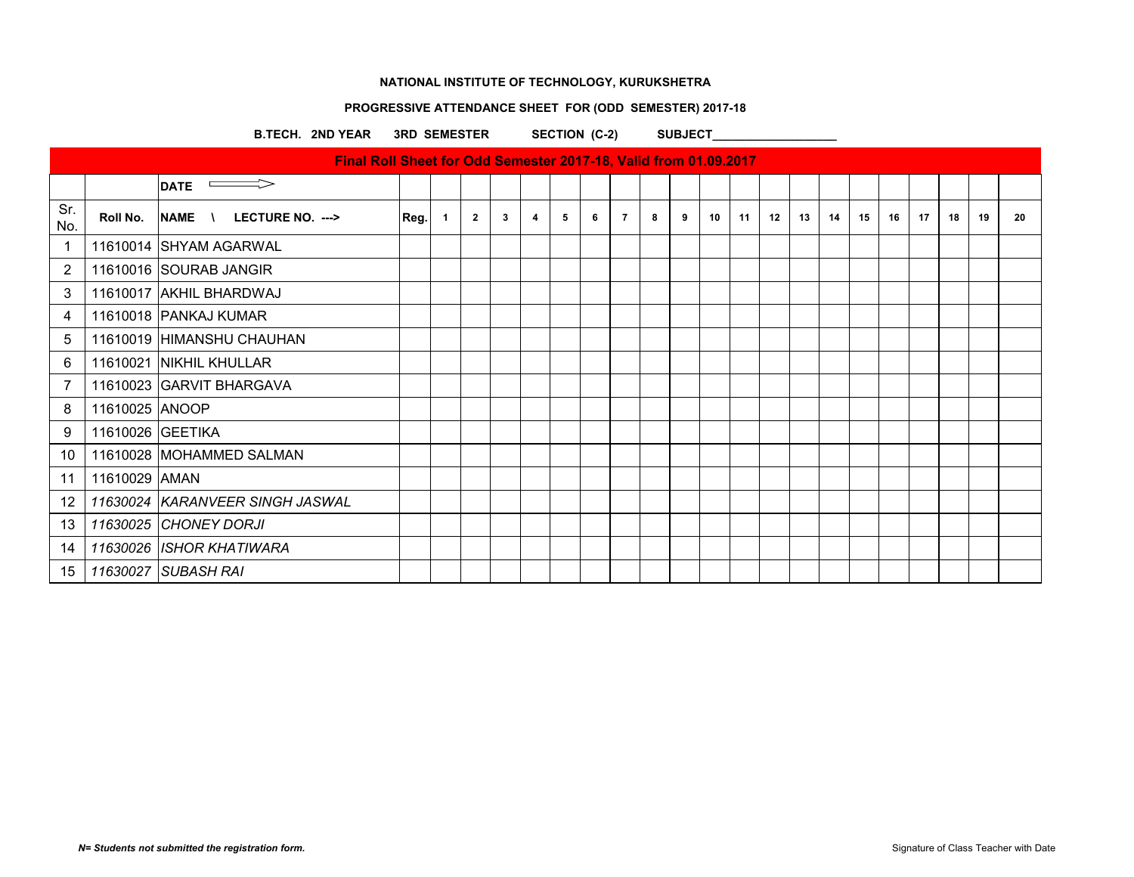# **PROGRESSIVE ATTENDANCE SHEET FOR (ODD SEMESTER) 2017-18**

B.TECH. 2ND YEAR 3RD SEMESTER SECTION (C-2) SUBJECT

|                |                  | $\implies$<br><b>DATE</b>          |      |    |                |   |   |   |   |                |   |   |    |    |    |    |    |    |    |    |    |    |    |
|----------------|------------------|------------------------------------|------|----|----------------|---|---|---|---|----------------|---|---|----|----|----|----|----|----|----|----|----|----|----|
| Sr.<br>No.     | Roll No.         | <b>INAME \ LECTURE NO. ---&gt;</b> | Reg. | -1 | $\overline{2}$ | 3 | 4 | 5 | 6 | $\overline{7}$ | 8 | 9 | 10 | 11 | 12 | 13 | 14 | 15 | 16 | 17 | 18 | 19 | 20 |
| -1             |                  | 11610014 SHYAM AGARWAL             |      |    |                |   |   |   |   |                |   |   |    |    |    |    |    |    |    |    |    |    |    |
| $\overline{2}$ |                  | 11610016 SOURAB JANGIR             |      |    |                |   |   |   |   |                |   |   |    |    |    |    |    |    |    |    |    |    |    |
| 3              |                  | 11610017 AKHIL BHARDWAJ            |      |    |                |   |   |   |   |                |   |   |    |    |    |    |    |    |    |    |    |    |    |
| 4              |                  | 11610018 PANKAJ KUMAR              |      |    |                |   |   |   |   |                |   |   |    |    |    |    |    |    |    |    |    |    |    |
| 5              |                  | 11610019 HIMANSHU CHAUHAN          |      |    |                |   |   |   |   |                |   |   |    |    |    |    |    |    |    |    |    |    |    |
| 6              |                  | 11610021 NIKHIL KHULLAR            |      |    |                |   |   |   |   |                |   |   |    |    |    |    |    |    |    |    |    |    |    |
| 7              |                  | 11610023 GARVIT BHARGAVA           |      |    |                |   |   |   |   |                |   |   |    |    |    |    |    |    |    |    |    |    |    |
| 8              | 11610025 ANOOP   |                                    |      |    |                |   |   |   |   |                |   |   |    |    |    |    |    |    |    |    |    |    |    |
| 9              | 11610026 GEETIKA |                                    |      |    |                |   |   |   |   |                |   |   |    |    |    |    |    |    |    |    |    |    |    |
| 10             |                  | 11610028 MOHAMMED SALMAN           |      |    |                |   |   |   |   |                |   |   |    |    |    |    |    |    |    |    |    |    |    |
| 11             | 11610029 AMAN    |                                    |      |    |                |   |   |   |   |                |   |   |    |    |    |    |    |    |    |    |    |    |    |
| 12             |                  | 11630024 KARANVEER SINGH JASWAL    |      |    |                |   |   |   |   |                |   |   |    |    |    |    |    |    |    |    |    |    |    |
| 13             |                  | 11630025 CHONEY DORJI              |      |    |                |   |   |   |   |                |   |   |    |    |    |    |    |    |    |    |    |    |    |
| 14             |                  | 11630026 ISHOR KHATIWARA           |      |    |                |   |   |   |   |                |   |   |    |    |    |    |    |    |    |    |    |    |    |
| 15             |                  | 11630027 SUBASH RAI                |      |    |                |   |   |   |   |                |   |   |    |    |    |    |    |    |    |    |    |    |    |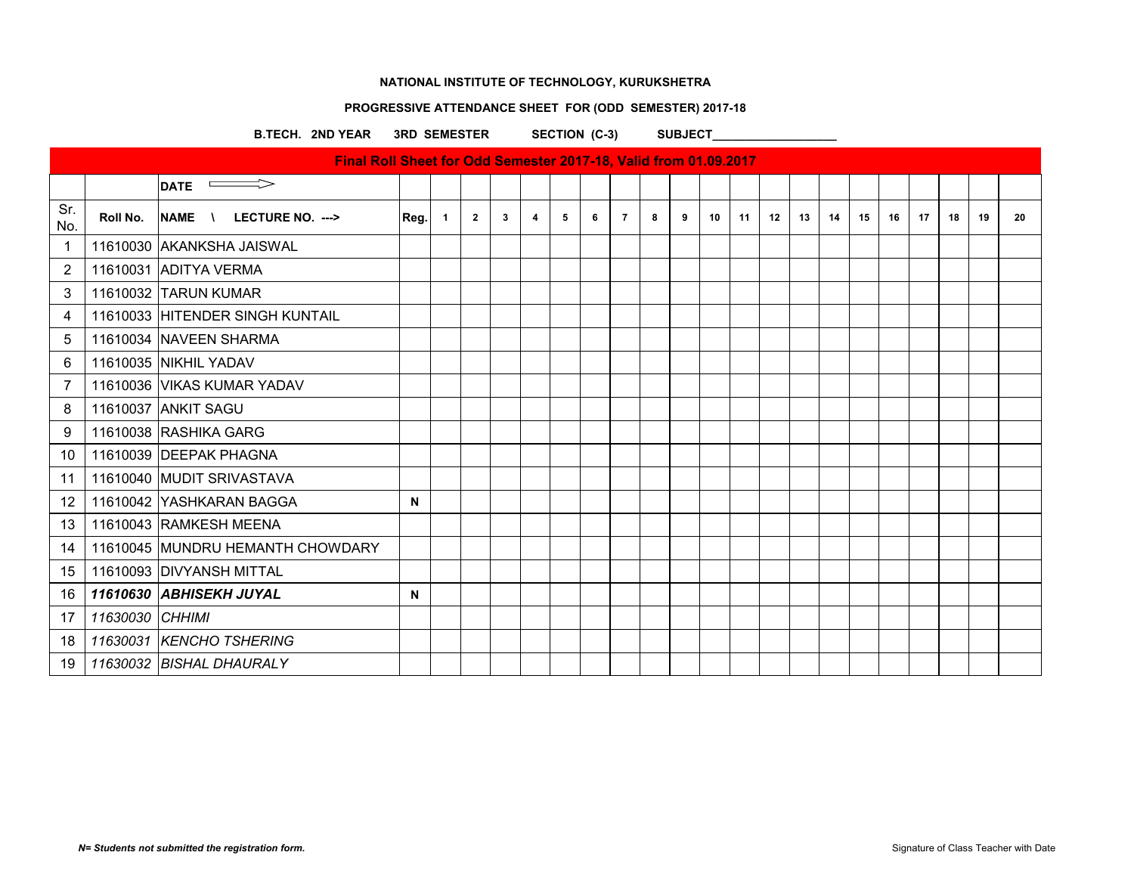# **PROGRESSIVE ATTENDANCE SHEET FOR (ODD SEMESTER) 2017-18**

B.TECH. 2ND YEAR 3RD SEMESTER SECTION (C-3) SUBJECT

|            |                 | Final Roll Sheet for Odd Semester 2017-18, Valid from 01.09.2017 |      |                |              |              |   |   |   |                |   |   |    |    |    |    |    |    |    |    |    |    |    |
|------------|-----------------|------------------------------------------------------------------|------|----------------|--------------|--------------|---|---|---|----------------|---|---|----|----|----|----|----|----|----|----|----|----|----|
|            |                 | $\overline{\text{DATE}}$                                         |      |                |              |              |   |   |   |                |   |   |    |    |    |    |    |    |    |    |    |    |    |
| Sr.<br>No. | Roll No.        | NAME \ LECTURE NO. --->                                          | Reg. | $\overline{1}$ | $\mathbf{2}$ | $\mathbf{3}$ | 4 | 5 | 6 | $\overline{7}$ | 8 | 9 | 10 | 11 | 12 | 13 | 14 | 15 | 16 | 17 | 18 | 19 | 20 |
|            |                 | 11610030 AKANKSHA JAISWAL                                        |      |                |              |              |   |   |   |                |   |   |    |    |    |    |    |    |    |    |    |    |    |
| 2          |                 | 11610031 ADITYA VERMA                                            |      |                |              |              |   |   |   |                |   |   |    |    |    |    |    |    |    |    |    |    |    |
| 3          |                 | 11610032 TARUN KUMAR                                             |      |                |              |              |   |   |   |                |   |   |    |    |    |    |    |    |    |    |    |    |    |
| 4          |                 | 11610033 HITENDER SINGH KUNTAIL                                  |      |                |              |              |   |   |   |                |   |   |    |    |    |    |    |    |    |    |    |    |    |
| 5          |                 | 11610034 NAVEEN SHARMA                                           |      |                |              |              |   |   |   |                |   |   |    |    |    |    |    |    |    |    |    |    |    |
| 6          |                 | 11610035 NIKHIL YADAV                                            |      |                |              |              |   |   |   |                |   |   |    |    |    |    |    |    |    |    |    |    |    |
|            |                 | 11610036 VIKAS KUMAR YADAV                                       |      |                |              |              |   |   |   |                |   |   |    |    |    |    |    |    |    |    |    |    |    |
| 8          |                 | 11610037 ANKIT SAGU                                              |      |                |              |              |   |   |   |                |   |   |    |    |    |    |    |    |    |    |    |    |    |
| 9          |                 | 11610038 RASHIKA GARG                                            |      |                |              |              |   |   |   |                |   |   |    |    |    |    |    |    |    |    |    |    |    |
| 10         |                 | 11610039 DEEPAK PHAGNA                                           |      |                |              |              |   |   |   |                |   |   |    |    |    |    |    |    |    |    |    |    |    |
| 11         |                 | 11610040 MUDIT SRIVASTAVA                                        |      |                |              |              |   |   |   |                |   |   |    |    |    |    |    |    |    |    |    |    |    |
| 12         |                 | 11610042 YASHKARAN BAGGA                                         | N    |                |              |              |   |   |   |                |   |   |    |    |    |    |    |    |    |    |    |    |    |
| 13         |                 | 11610043 RAMKESH MEENA                                           |      |                |              |              |   |   |   |                |   |   |    |    |    |    |    |    |    |    |    |    |    |
| 14         |                 | 11610045 MUNDRU HEMANTH CHOWDARY                                 |      |                |              |              |   |   |   |                |   |   |    |    |    |    |    |    |    |    |    |    |    |
| 15         |                 | 11610093 DIVYANSH MITTAL                                         |      |                |              |              |   |   |   |                |   |   |    |    |    |    |    |    |    |    |    |    |    |
| 16         |                 | 11610630 ABHISEKH JUYAL                                          | N    |                |              |              |   |   |   |                |   |   |    |    |    |    |    |    |    |    |    |    |    |
| 17         | 11630030 CHHIMI |                                                                  |      |                |              |              |   |   |   |                |   |   |    |    |    |    |    |    |    |    |    |    |    |
| 18         |                 | 11630031 KENCHO TSHERING                                         |      |                |              |              |   |   |   |                |   |   |    |    |    |    |    |    |    |    |    |    |    |
| 19         |                 | 11630032 BISHAL DHAURALY                                         |      |                |              |              |   |   |   |                |   |   |    |    |    |    |    |    |    |    |    |    |    |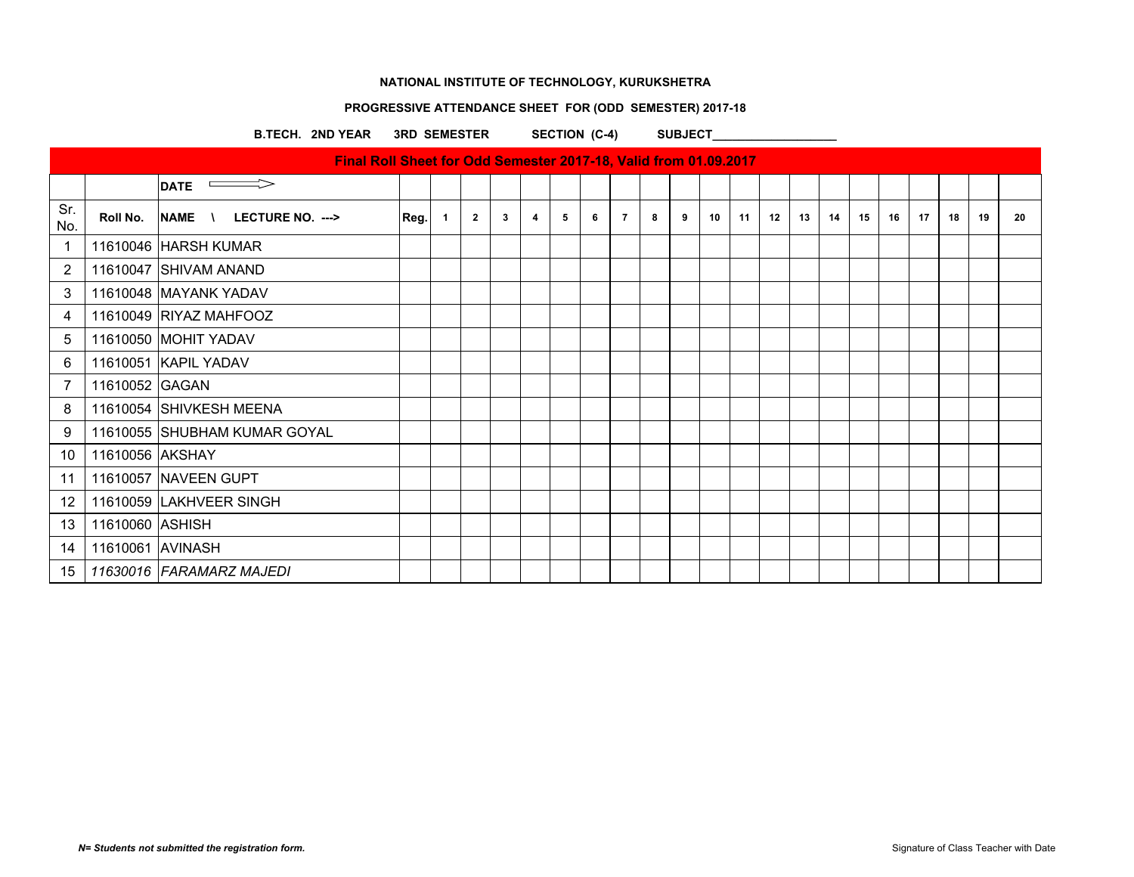# **PROGRESSIVE ATTENDANCE SHEET FOR (ODD SEMESTER) 2017-18**

B.TECH. 2ND YEAR 3RD SEMESTER SECTION (C-4) SUBJECT

|                         |                  | DATE $\implies$              |      |              |                |              |   |   |   |                |   |   |    |    |    |    |    |    |    |    |    |    |    |
|-------------------------|------------------|------------------------------|------|--------------|----------------|--------------|---|---|---|----------------|---|---|----|----|----|----|----|----|----|----|----|----|----|
| Sr.<br>No.              | Roll No.         | NAME \ LECTURE NO. --->      | Reg. | $\mathbf{1}$ | $\overline{2}$ | $\mathbf{3}$ | 4 | 5 | 6 | $\overline{7}$ | 8 | 9 | 10 | 11 | 12 | 13 | 14 | 15 | 16 | 17 | 18 | 19 | 20 |
| $\overline{\mathbf{1}}$ |                  | 11610046 HARSH KUMAR         |      |              |                |              |   |   |   |                |   |   |    |    |    |    |    |    |    |    |    |    |    |
| 2                       |                  | 11610047 SHIVAM ANAND        |      |              |                |              |   |   |   |                |   |   |    |    |    |    |    |    |    |    |    |    |    |
| 3                       |                  | 11610048 MAYANK YADAV        |      |              |                |              |   |   |   |                |   |   |    |    |    |    |    |    |    |    |    |    |    |
| 4                       |                  | 11610049 RIYAZ MAHFOOZ       |      |              |                |              |   |   |   |                |   |   |    |    |    |    |    |    |    |    |    |    |    |
| 5                       |                  | 11610050 MOHIT YADAV         |      |              |                |              |   |   |   |                |   |   |    |    |    |    |    |    |    |    |    |    |    |
| 6                       |                  | 11610051 KAPIL YADAV         |      |              |                |              |   |   |   |                |   |   |    |    |    |    |    |    |    |    |    |    |    |
| $\overline{7}$          | 11610052 GAGAN   |                              |      |              |                |              |   |   |   |                |   |   |    |    |    |    |    |    |    |    |    |    |    |
| 8                       |                  | 11610054 SHIVKESH MEENA      |      |              |                |              |   |   |   |                |   |   |    |    |    |    |    |    |    |    |    |    |    |
| 9                       |                  | 11610055 SHUBHAM KUMAR GOYAL |      |              |                |              |   |   |   |                |   |   |    |    |    |    |    |    |    |    |    |    |    |
| 10                      | 11610056 AKSHAY  |                              |      |              |                |              |   |   |   |                |   |   |    |    |    |    |    |    |    |    |    |    |    |
| 11                      |                  | 11610057 NAVEEN GUPT         |      |              |                |              |   |   |   |                |   |   |    |    |    |    |    |    |    |    |    |    |    |
| 12                      |                  | 11610059 LAKHVEER SINGH      |      |              |                |              |   |   |   |                |   |   |    |    |    |    |    |    |    |    |    |    |    |
| 13                      | 11610060 ASHISH  |                              |      |              |                |              |   |   |   |                |   |   |    |    |    |    |    |    |    |    |    |    |    |
| 14                      | 11610061 AVINASH |                              |      |              |                |              |   |   |   |                |   |   |    |    |    |    |    |    |    |    |    |    |    |
| 15                      |                  | 11630016 FARAMARZ MAJEDI     |      |              |                |              |   |   |   |                |   |   |    |    |    |    |    |    |    |    |    |    |    |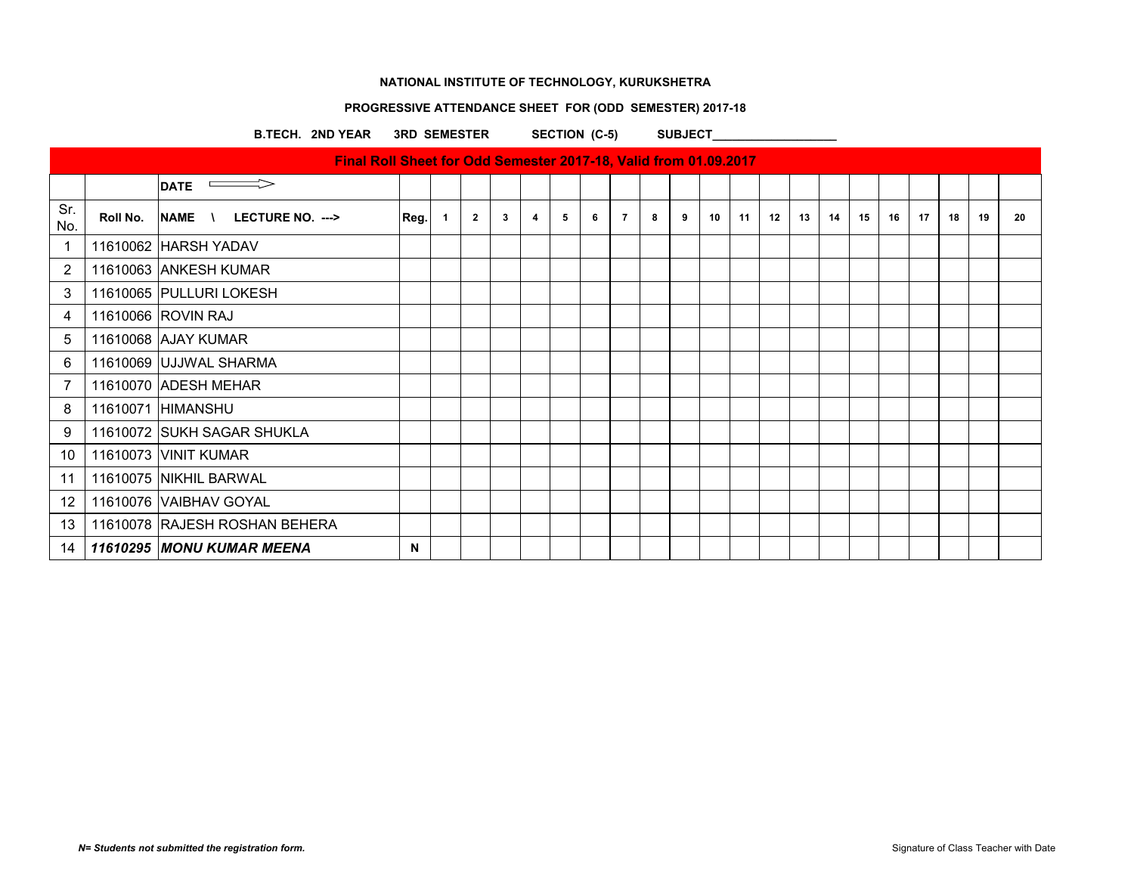# **PROGRESSIVE ATTENDANCE SHEET FOR (ODD SEMESTER) 2017-18**

B.TECH. 2ND YEAR 3RD SEMESTER SECTION (C-5) SUBJECT

|            |          | <b>DATE</b>                   |      |              |                |              |                         |   |   |                |   |   |    |    |    |    |    |    |    |    |    |    |    |
|------------|----------|-------------------------------|------|--------------|----------------|--------------|-------------------------|---|---|----------------|---|---|----|----|----|----|----|----|----|----|----|----|----|
| Sr.<br>No. | Roll No. | NAME \<br>LECTURE NO. --->    | Reg. | $\mathbf{1}$ | $\overline{2}$ | $\mathbf{3}$ | $\overline{\mathbf{4}}$ | 5 | 6 | $\overline{7}$ | 8 | 9 | 10 | 11 | 12 | 13 | 14 | 15 | 16 | 17 | 18 | 19 | 20 |
| -1         |          | 11610062 HARSH YADAV          |      |              |                |              |                         |   |   |                |   |   |    |    |    |    |    |    |    |    |    |    |    |
| 2          |          | 11610063 ANKESH KUMAR         |      |              |                |              |                         |   |   |                |   |   |    |    |    |    |    |    |    |    |    |    |    |
| 3          |          | 11610065 PULLURI LOKESH       |      |              |                |              |                         |   |   |                |   |   |    |    |    |    |    |    |    |    |    |    |    |
| 4          |          | 11610066 ROVIN RAJ            |      |              |                |              |                         |   |   |                |   |   |    |    |    |    |    |    |    |    |    |    |    |
| 5          |          | 11610068 AJAY KUMAR           |      |              |                |              |                         |   |   |                |   |   |    |    |    |    |    |    |    |    |    |    |    |
| 6          |          | 11610069 UJJWAL SHARMA        |      |              |                |              |                         |   |   |                |   |   |    |    |    |    |    |    |    |    |    |    |    |
| 7          |          | 11610070 ADESH MEHAR          |      |              |                |              |                         |   |   |                |   |   |    |    |    |    |    |    |    |    |    |    |    |
| 8          |          | 11610071 HIMANSHU             |      |              |                |              |                         |   |   |                |   |   |    |    |    |    |    |    |    |    |    |    |    |
| 9          |          | 11610072 SUKH SAGAR SHUKLA    |      |              |                |              |                         |   |   |                |   |   |    |    |    |    |    |    |    |    |    |    |    |
| 10         |          | 11610073 VINIT KUMAR          |      |              |                |              |                         |   |   |                |   |   |    |    |    |    |    |    |    |    |    |    |    |
| 11         |          | 11610075 NIKHIL BARWAL        |      |              |                |              |                         |   |   |                |   |   |    |    |    |    |    |    |    |    |    |    |    |
| 12         |          | 11610076 VAIBHAV GOYAL        |      |              |                |              |                         |   |   |                |   |   |    |    |    |    |    |    |    |    |    |    |    |
| 13         |          | 11610078 RAJESH ROSHAN BEHERA |      |              |                |              |                         |   |   |                |   |   |    |    |    |    |    |    |    |    |    |    |    |
| 14         |          | 11610295 MONU KUMAR MEENA     | N    |              |                |              |                         |   |   |                |   |   |    |    |    |    |    |    |    |    |    |    |    |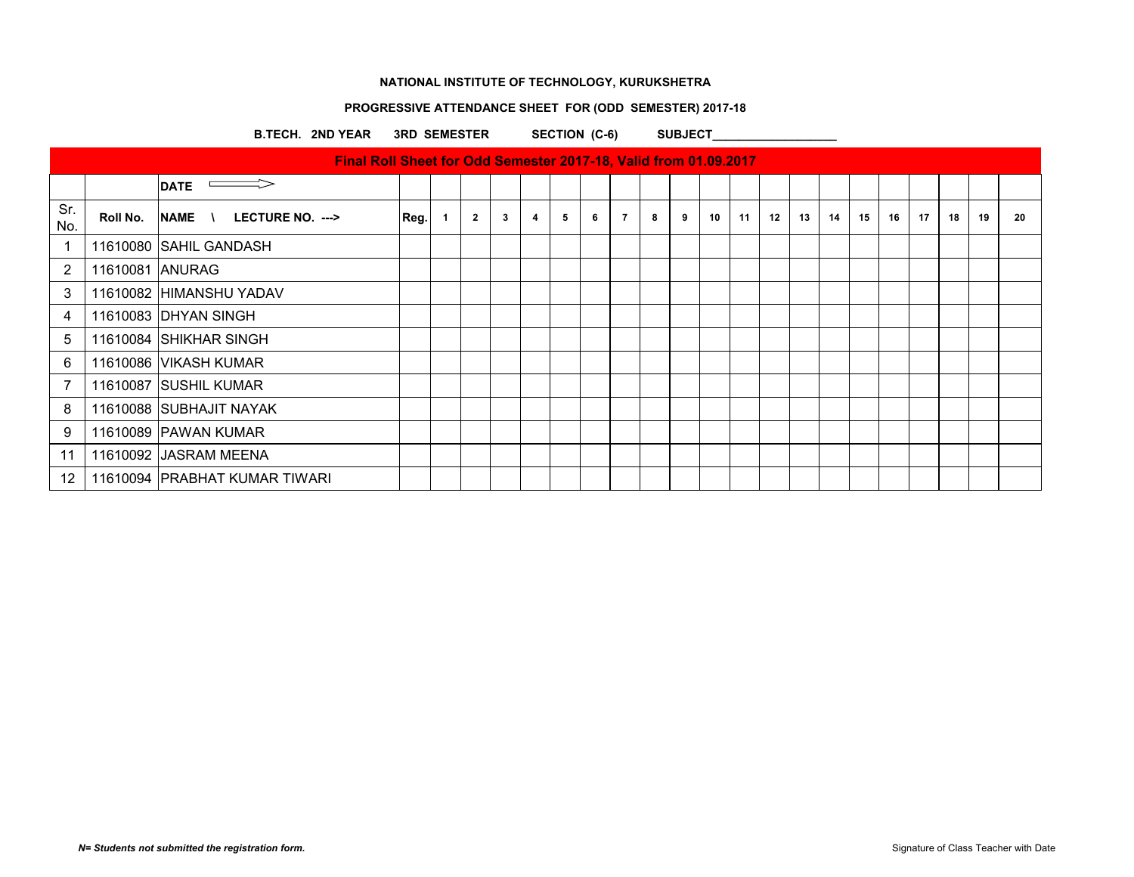# **PROGRESSIVE ATTENDANCE SHEET FOR (ODD SEMESTER) 2017-18**

B.TECH. 2ND YEAR 3RD SEMESTER SECTION (C-6) SUBJECT

|                   |                 | <u>T HIAI NUILOITEELTUI OUU JEITIESTEI ZUTTIID, VAIIU ITUITI UT.UJ.ZUTT</u> |      |              |   |   |   |   |   |   |   |    |    |    |    |    |    |    |    |    |    |    |
|-------------------|-----------------|-----------------------------------------------------------------------------|------|--------------|---|---|---|---|---|---|---|----|----|----|----|----|----|----|----|----|----|----|
|                   |                 | $\Longrightarrow$<br><b>DATE</b>                                            |      |              |   |   |   |   |   |   |   |    |    |    |    |    |    |    |    |    |    |    |
| Sr.<br>No.        | Roll No.        | NAME \<br>LECTURE NO. --->                                                  | Reg. | $\mathbf{2}$ | 3 | 4 | 5 | 6 | 7 | 8 | 9 | 10 | 11 | 12 | 13 | 14 | 15 | 16 | 17 | 18 | 19 | 20 |
|                   |                 | 11610080 SAHIL GANDASH                                                      |      |              |   |   |   |   |   |   |   |    |    |    |    |    |    |    |    |    |    |    |
| $\overline{2}$    | 11610081 ANURAG |                                                                             |      |              |   |   |   |   |   |   |   |    |    |    |    |    |    |    |    |    |    |    |
| 3                 |                 | 11610082 HIMANSHU YADAV                                                     |      |              |   |   |   |   |   |   |   |    |    |    |    |    |    |    |    |    |    |    |
| 4                 |                 | 11610083 DHYAN SINGH                                                        |      |              |   |   |   |   |   |   |   |    |    |    |    |    |    |    |    |    |    |    |
| 5                 |                 | 11610084 SHIKHAR SINGH                                                      |      |              |   |   |   |   |   |   |   |    |    |    |    |    |    |    |    |    |    |    |
| 6                 |                 | 11610086 VIKASH KUMAR                                                       |      |              |   |   |   |   |   |   |   |    |    |    |    |    |    |    |    |    |    |    |
|                   |                 | 11610087 SUSHIL KUMAR                                                       |      |              |   |   |   |   |   |   |   |    |    |    |    |    |    |    |    |    |    |    |
| 8                 |                 | 11610088 SUBHAJIT NAYAK                                                     |      |              |   |   |   |   |   |   |   |    |    |    |    |    |    |    |    |    |    |    |
| 9                 |                 | 11610089 PAWAN KUMAR                                                        |      |              |   |   |   |   |   |   |   |    |    |    |    |    |    |    |    |    |    |    |
| 11                |                 | 11610092 JASRAM MEENA                                                       |      |              |   |   |   |   |   |   |   |    |    |    |    |    |    |    |    |    |    |    |
| $12 \overline{ }$ |                 | 11610094 PRABHAT KUMAR TIWARI                                               |      |              |   |   |   |   |   |   |   |    |    |    |    |    |    |    |    |    |    |    |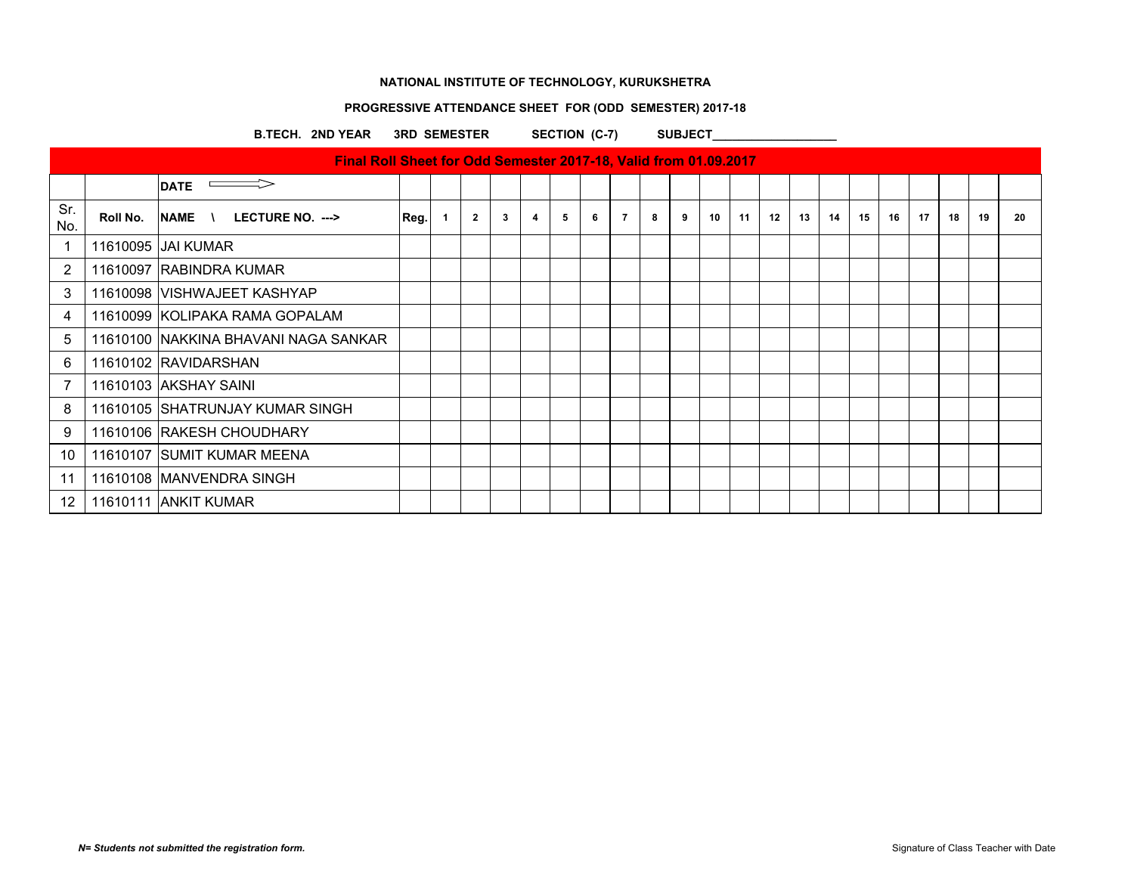# **PROGRESSIVE ATTENDANCE SHEET FOR (ODD SEMESTER) 2017-18**

B.TECH. 2ND YEAR 3RD SEMESTER SECTION (C-7) SUBJECT

|                |          | <u>THE ROLLONG CHILD ON A CONGRESSION CALLERY AND HAN A HAN A HANGLED IT</u> |      |              |                |              |   |   |   |                |   |   |    |    |    |    |    |    |    |    |    |    |    |
|----------------|----------|------------------------------------------------------------------------------|------|--------------|----------------|--------------|---|---|---|----------------|---|---|----|----|----|----|----|----|----|----|----|----|----|
|                |          | $\equiv$ $\Rightarrow$<br><b>DATE</b>                                        |      |              |                |              |   |   |   |                |   |   |    |    |    |    |    |    |    |    |    |    |    |
| Sr.<br>No.     | Roll No. | $NAME$ \ LECTURE NO. --->                                                    | Reg. | $\mathbf{1}$ | $\overline{2}$ | $\mathbf{3}$ | 4 | 5 | 6 | $\overline{7}$ | 8 | 9 | 10 | 11 | 12 | 13 | 14 | 15 | 16 | 17 | 18 | 19 | 20 |
| 1              |          | 11610095 JAI KUMAR                                                           |      |              |                |              |   |   |   |                |   |   |    |    |    |    |    |    |    |    |    |    |    |
| $\overline{2}$ |          | 11610097 RABINDRA KUMAR                                                      |      |              |                |              |   |   |   |                |   |   |    |    |    |    |    |    |    |    |    |    |    |
| 3              |          | 11610098 VISHWAJEET KASHYAP                                                  |      |              |                |              |   |   |   |                |   |   |    |    |    |    |    |    |    |    |    |    |    |
| 4              |          | 11610099 KOLIPAKA RAMA GOPALAM                                               |      |              |                |              |   |   |   |                |   |   |    |    |    |    |    |    |    |    |    |    |    |
| 5              |          | 11610100 INAKKINA BHAVANI NAGA SANKAR                                        |      |              |                |              |   |   |   |                |   |   |    |    |    |    |    |    |    |    |    |    |    |
| 6              |          | 11610102 RAVIDARSHAN                                                         |      |              |                |              |   |   |   |                |   |   |    |    |    |    |    |    |    |    |    |    |    |
| 7              |          | 11610103 AKSHAY SAINI                                                        |      |              |                |              |   |   |   |                |   |   |    |    |    |    |    |    |    |    |    |    |    |
| 8              |          | 11610105 SHATRUNJAY KUMAR SINGH                                              |      |              |                |              |   |   |   |                |   |   |    |    |    |    |    |    |    |    |    |    |    |
| 9              |          | 11610106 RAKESH CHOUDHARY                                                    |      |              |                |              |   |   |   |                |   |   |    |    |    |    |    |    |    |    |    |    |    |
| 10             |          | 11610107 SUMIT KUMAR MEENA                                                   |      |              |                |              |   |   |   |                |   |   |    |    |    |    |    |    |    |    |    |    |    |
| 11             |          | 11610108 MANVENDRA SINGH                                                     |      |              |                |              |   |   |   |                |   |   |    |    |    |    |    |    |    |    |    |    |    |
| 12             |          | 11610111 ANKIT KUMAR                                                         |      |              |                |              |   |   |   |                |   |   |    |    |    |    |    |    |    |    |    |    |    |